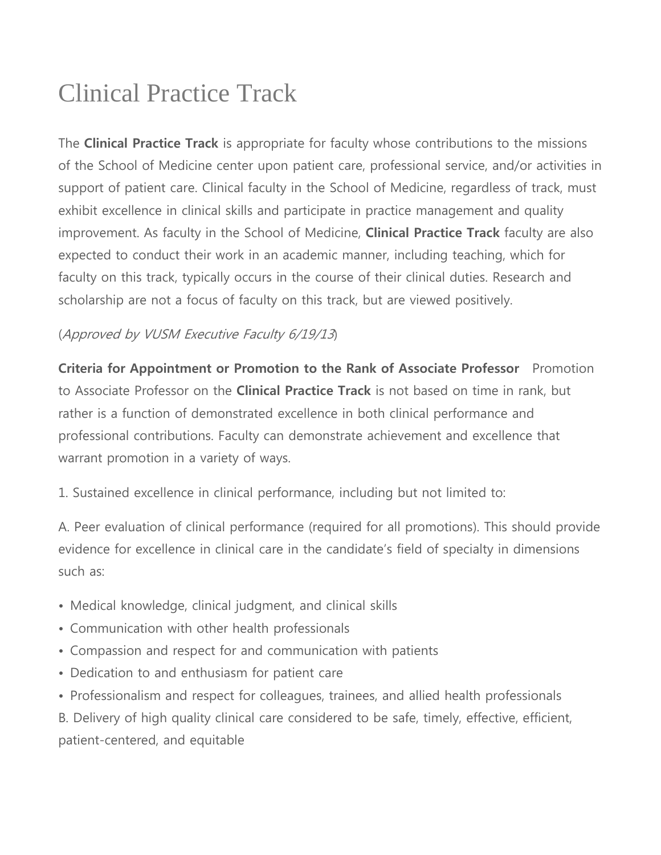## Clinical Practice Track

The **Clinical Practice Track** is appropriate for faculty whose contributions to the missions of the School of Medicine center upon patient care, professional service, and/or activities in support of patient care. Clinical faculty in the School of Medicine, regardless of track, must exhibit excellence in clinical skills and participate in practice management and quality improvement. As faculty in the School of Medicine, **Clinical Practice Track** faculty are also expected to conduct their work in an academic manner, including teaching, which for faculty on this track, typically occurs in the course of their clinical duties. Research and scholarship are not a focus of faculty on this track, but are viewed positively.

## (Approved by VUSM Executive Faculty 6/19/13)

**Criteria for Appointment or Promotion to the Rank of Associate Professor** Promotion to Associate Professor on the **Clinical Practice Track** is not based on time in rank, but rather is a function of demonstrated excellence in both clinical performance and professional contributions. Faculty can demonstrate achievement and excellence that warrant promotion in a variety of ways.

1. Sustained excellence in clinical performance, including but not limited to:

A. Peer evaluation of clinical performance (required for all promotions). This should provide evidence for excellence in clinical care in the candidate's field of specialty in dimensions such as:

- Medical knowledge, clinical judgment, and clinical skills
- Communication with other health professionals
- Compassion and respect for and communication with patients
- Dedication to and enthusiasm for patient care
- Professionalism and respect for colleagues, trainees, and allied health professionals

B. Delivery of high quality clinical care considered to be safe, timely, effective, efficient, patient-centered, and equitable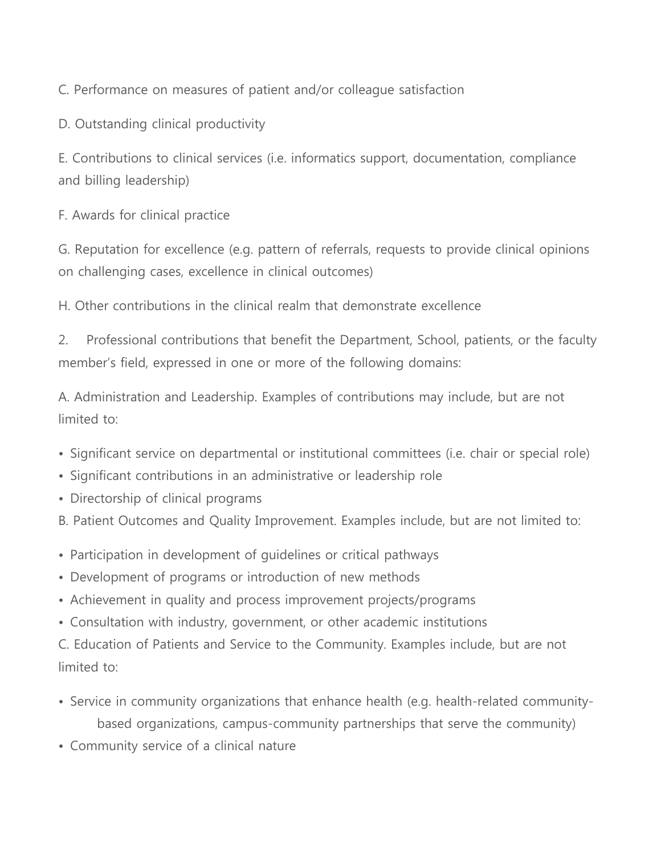C. Performance on measures of patient and/or colleague satisfaction

D. Outstanding clinical productivity

E. Contributions to clinical services (i.e. informatics support, documentation, compliance and billing leadership)

F. Awards for clinical practice

G. Reputation for excellence (e.g. pattern of referrals, requests to provide clinical opinions on challenging cases, excellence in clinical outcomes)

H. Other contributions in the clinical realm that demonstrate excellence

2. Professional contributions that benefit the Department, School, patients, or the faculty member's field, expressed in one or more of the following domains:

A. Administration and Leadership. Examples of contributions may include, but are not limited to:

- Significant service on departmental or institutional committees (i.e. chair or special role)
- Significant contributions in an administrative or leadership role
- Directorship of clinical programs
- B. Patient Outcomes and Quality Improvement. Examples include, but are not limited to:
- Participation in development of guidelines or critical pathways
- Development of programs or introduction of new methods
- Achievement in quality and process improvement projects/programs
- Consultation with industry, government, or other academic institutions

C. Education of Patients and Service to the Community. Examples include, but are not limited to:

- Service in community organizations that enhance health (e.g. health-related communitybased organizations, campus-community partnerships that serve the community)
- Community service of a clinical nature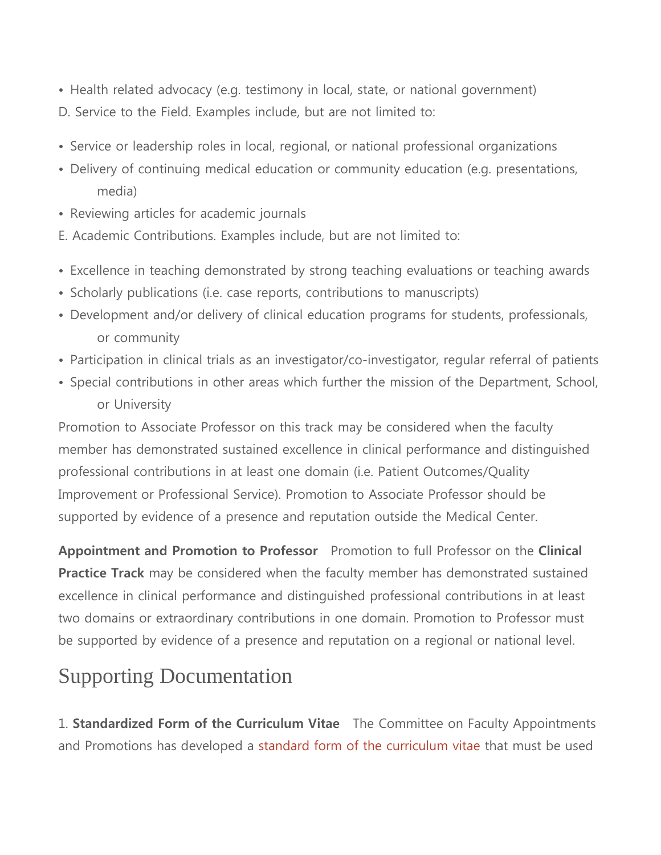- Health related advocacy (e.g. testimony in local, state, or national government) D. Service to the Field. Examples include, but are not limited to:
- Service or leadership roles in local, regional, or national professional organizations
- Delivery of continuing medical education or community education (e.g. presentations, media)
- Reviewing articles for academic journals
- E. Academic Contributions. Examples include, but are not limited to:
- Excellence in teaching demonstrated by strong teaching evaluations or teaching awards
- Scholarly publications (i.e. case reports, contributions to manuscripts)
- Development and/or delivery of clinical education programs for students, professionals, or community
- Participation in clinical trials as an investigator/co-investigator, regular referral of patients
- Special contributions in other areas which further the mission of the Department, School, or University

Promotion to Associate Professor on this track may be considered when the faculty member has demonstrated sustained excellence in clinical performance and distinguished professional contributions in at least one domain (i.e. Patient Outcomes/Quality Improvement or Professional Service). Promotion to Associate Professor should be supported by evidence of a presence and reputation outside the Medical Center.

**Appointment and Promotion to Professor** Promotion to full Professor on the **Clinical Practice Track** may be considered when the faculty member has demonstrated sustained excellence in clinical performance and distinguished professional contributions in at least two domains or extraordinary contributions in one domain. Promotion to Professor must be supported by evidence of a presence and reputation on a regional or national level.

## Supporting Documentation

1. **Standardized Form of the Curriculum Vitae** The Committee on Faculty Appointments and Promotions has developed a [standard form of the curriculum vitae](https://medschool.vanderbilt.edu/faculty/required-format-curriculum-vitae) that must be used